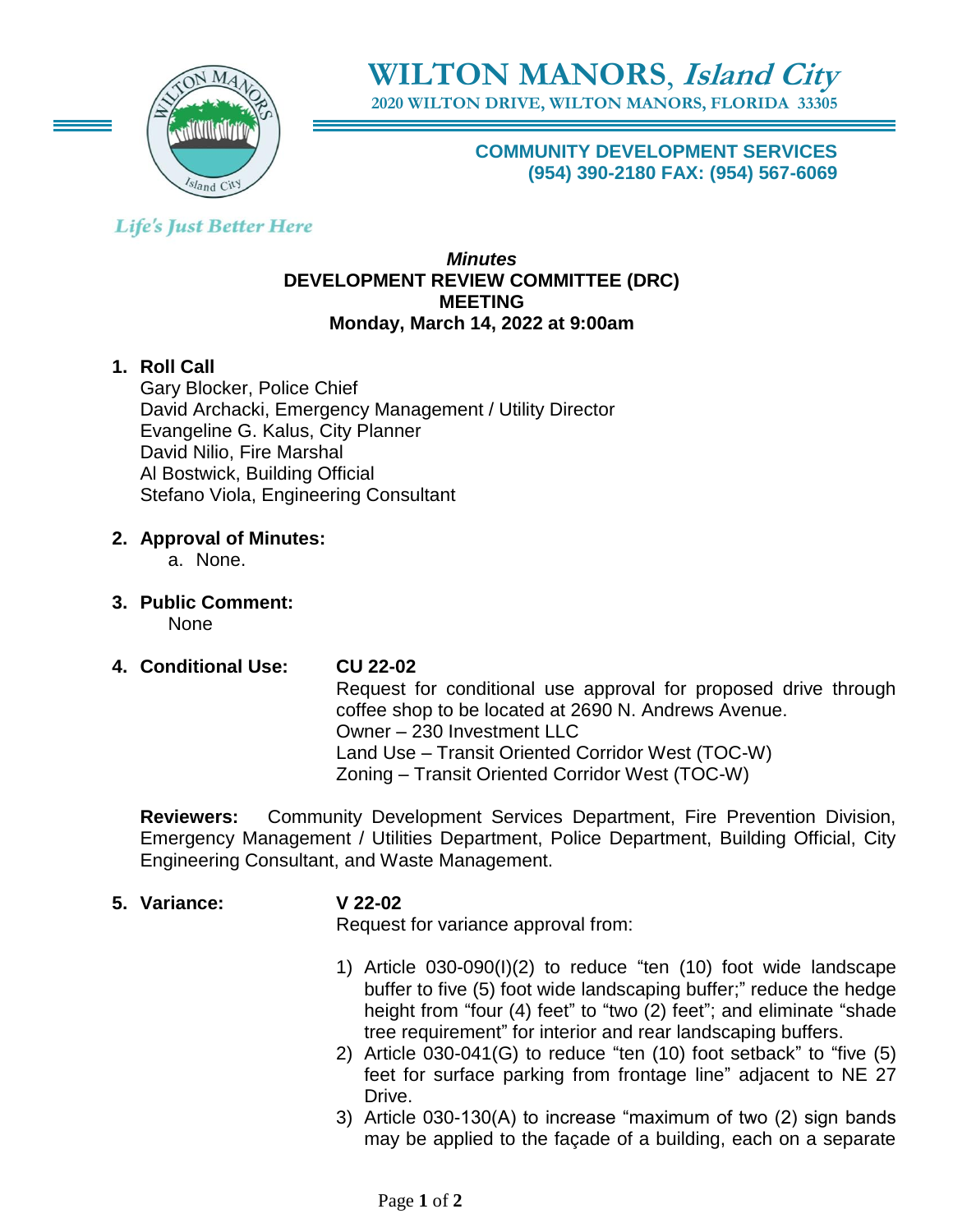

**WILTON MANORS**, **Island City**

**2020 WILTON DRIVE, WILTON MANORS, FLORIDA 33305**

**COMMUNITY DEVELOPMENT SERVICES (954) 390-2180 FAX: (954) 567-6069**

# **Life's Just Better Here**

#### *Minutes* **DEVELOPMENT REVIEW COMMITTEE (DRC) MEETING Monday, March 14, 2022 at 9:00am**

## **1. Roll Call**

Gary Blocker, Police Chief David Archacki, Emergency Management / Utility Director Evangeline G. Kalus, City Planner David Nilio, Fire Marshal Al Bostwick, Building Official Stefano Viola, Engineering Consultant

#### **2. Approval of Minutes:**

a. None.

- **3. Public Comment:**  None
- **4. Conditional Use: CU 22-02**

Request for conditional use approval for proposed drive through coffee shop to be located at 2690 N. Andrews Avenue. Owner – 230 Investment LLC Land Use – Transit Oriented Corridor West (TOC-W) Zoning – Transit Oriented Corridor West (TOC-W)

**Reviewers:** Community Development Services Department, Fire Prevention Division, Emergency Management / Utilities Department, Police Department, Building Official, City Engineering Consultant, and Waste Management.

#### **5. Variance: V 22-02**

Request for variance approval from:

- 1) Article 030-090(I)(2) to reduce "ten (10) foot wide landscape buffer to five (5) foot wide landscaping buffer;" reduce the hedge height from "four (4) feet" to "two (2) feet"; and eliminate "shade tree requirement" for interior and rear landscaping buffers.
- 2) Article 030-041(G) to reduce "ten (10) foot setback" to "five (5) feet for surface parking from frontage line" adjacent to NE 27 Drive.
- 3) Article 030-130(A) to increase "maximum of two (2) sign bands may be applied to the façade of a building, each on a separate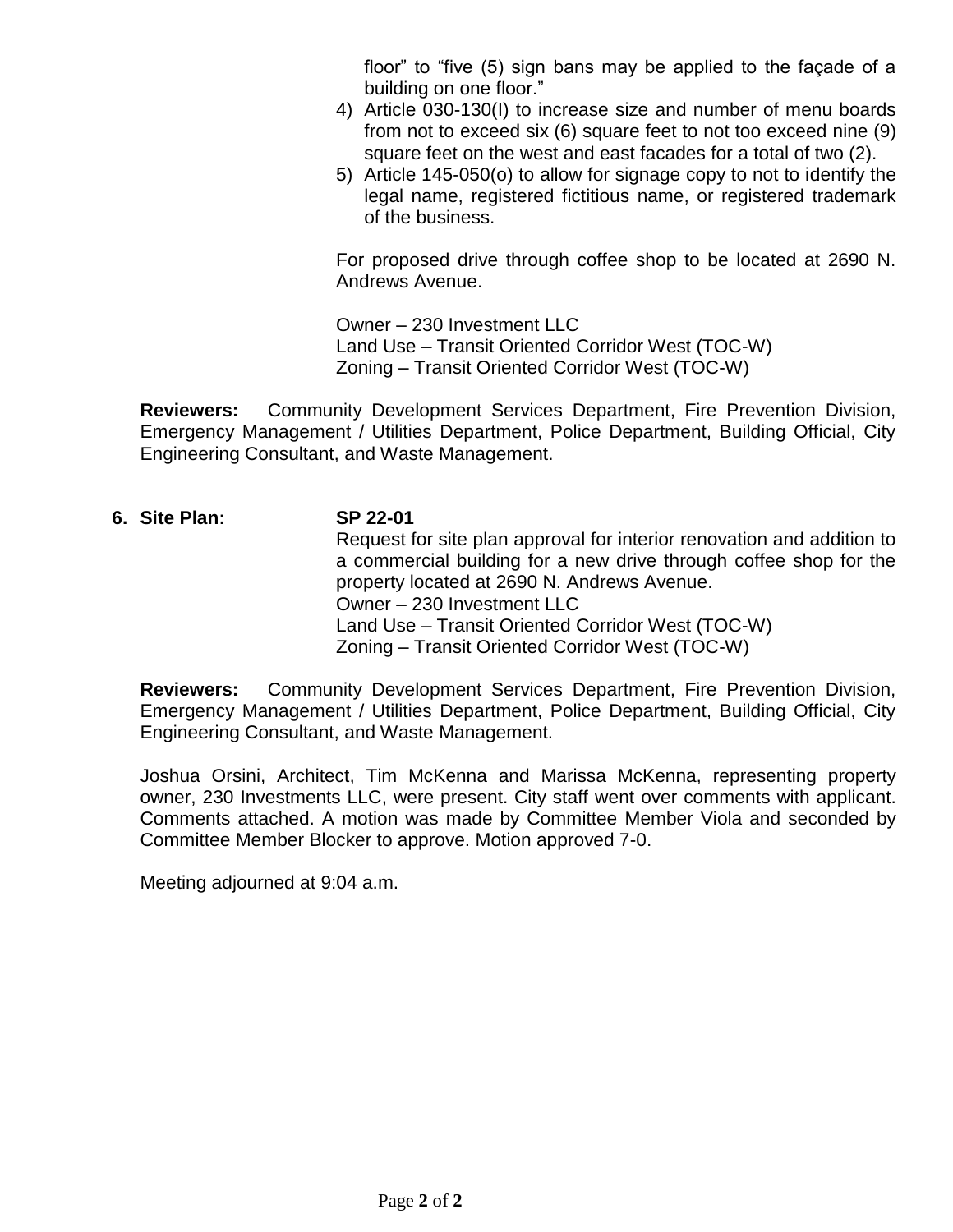floor" to "five (5) sign bans may be applied to the façade of a building on one floor."

- 4) Article 030-130(I) to increase size and number of menu boards from not to exceed six (6) square feet to not too exceed nine (9) square feet on the west and east facades for a total of two (2).
- 5) Article 145-050(o) to allow for signage copy to not to identify the legal name, registered fictitious name, or registered trademark of the business.

For proposed drive through coffee shop to be located at 2690 N. Andrews Avenue.

Owner – 230 Investment LLC Land Use – Transit Oriented Corridor West (TOC-W) Zoning – Transit Oriented Corridor West (TOC-W)

**Reviewers:** Community Development Services Department, Fire Prevention Division, Emergency Management / Utilities Department, Police Department, Building Official, City Engineering Consultant, and Waste Management.

## **6. Site Plan: SP 22-01** Request for site plan approval for interior renovation and addition to a commercial building for a new drive through coffee shop for the property located at 2690 N. Andrews Avenue. Owner – 230 Investment LLC Land Use – Transit Oriented Corridor West (TOC-W) Zoning – Transit Oriented Corridor West (TOC-W)

**Reviewers:** Community Development Services Department, Fire Prevention Division, Emergency Management / Utilities Department, Police Department, Building Official, City Engineering Consultant, and Waste Management.

Joshua Orsini, Architect, Tim McKenna and Marissa McKenna, representing property owner, 230 Investments LLC, were present. City staff went over comments with applicant. Comments attached. A motion was made by Committee Member Viola and seconded by Committee Member Blocker to approve. Motion approved 7-0.

Meeting adjourned at 9:04 a.m.